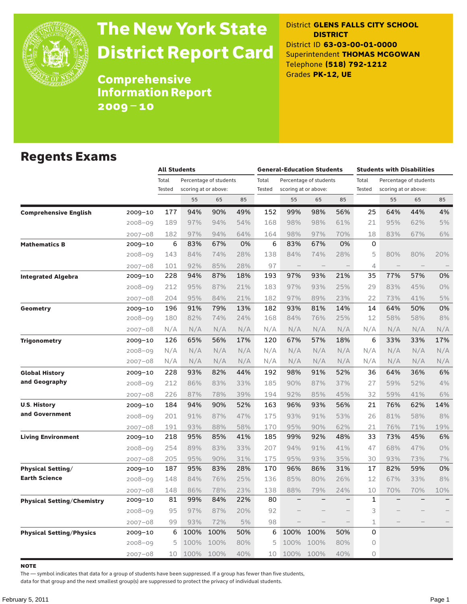

# The New York State District Report Card

District **GLENS FALLS CITY SCHOOL DISTRICT** District ID **63-03-00-01-0000** Superintendent **THOMAS MCGOWAN** Telephone **(518) 792-1212** Grades **PK-12, UE**

**Comprehensive** Information Report 2009–10

### Regents Exams

|                                   |             |                 | <b>All Students</b> |                                                |     |                 | <b>General-Education Students</b> |                                                |                          |                 | <b>Students with Disabilities</b>              |     |                          |  |  |
|-----------------------------------|-------------|-----------------|---------------------|------------------------------------------------|-----|-----------------|-----------------------------------|------------------------------------------------|--------------------------|-----------------|------------------------------------------------|-----|--------------------------|--|--|
|                                   |             | Total<br>Tested |                     | Percentage of students<br>scoring at or above: |     | Total<br>Tested |                                   | Percentage of students<br>scoring at or above: |                          | Total<br>Tested | Percentage of students<br>scoring at or above: |     |                          |  |  |
|                                   |             |                 | 55                  | 65                                             | 85  |                 | 55                                | 65                                             | 85                       |                 | 55                                             | 65  | 85                       |  |  |
| <b>Comprehensive English</b>      | 2009-10     | 177             | 94%                 | 90%                                            | 49% | 152             | 99%                               | 98%                                            | 56%                      | 25              | 64%                                            | 44% | 4%                       |  |  |
|                                   | 2008-09     | 189             | 97%                 | 94%                                            | 54% | 168             | 98%                               | 98%                                            | 61%                      | 21              | 95%                                            | 62% | 5%                       |  |  |
|                                   | 2007-08     | 182             | 97%                 | 94%                                            | 64% | 164             | 98%                               | 97%                                            | 70%                      | 18              | 83%                                            | 67% | 6%                       |  |  |
| <b>Mathematics B</b>              | 2009-10     | 6               | 83%                 | 67%                                            | 0%  | 6               | 83%                               | 67%                                            | 0%                       | 0               |                                                |     |                          |  |  |
|                                   | 2008-09     | 143             | 84%                 | 74%                                            | 28% | 138             | 84%                               | 74%                                            | 28%                      | 5               | 80%                                            | 80% | 20%                      |  |  |
|                                   | 2007-08     | 101             | 92%                 | 85%                                            | 28% | 97              | $\qquad \qquad -$                 |                                                |                          | 4               | $\overline{\phantom{a}}$                       |     |                          |  |  |
| <b>Integrated Algebra</b>         | 2009-10     | 228             | 94%                 | 87%                                            | 18% | 193             | 97%                               | 93%                                            | 21%                      | 35              | 77%                                            | 57% | 0%                       |  |  |
|                                   | $2008 - 09$ | 212             | 95%                 | 87%                                            | 21% | 183             | 97%                               | 93%                                            | 25%                      | 29              | 83%                                            | 45% | 0%                       |  |  |
|                                   | $2007 - 08$ | 204             | 95%                 | 84%                                            | 21% | 182             | 97%                               | 89%                                            | 23%                      | 22              | 73%                                            | 41% | 5%                       |  |  |
| <b>Geometry</b>                   | 2009-10     | 196             | 91%                 | 79%                                            | 13% | 182             | 93%                               | 81%                                            | 14%                      | 14              | 64%                                            | 50% | 0%                       |  |  |
|                                   | $2008 - 09$ | 180             | 82%                 | 74%                                            | 24% | 168             | 84%                               | 76%                                            | 25%                      | 12              | 58%                                            | 58% | 8%                       |  |  |
|                                   | 2007-08     | N/A             | N/A                 | N/A                                            | N/A | N/A             | N/A                               | N/A                                            | N/A                      | N/A             | N/A                                            | N/A | N/A                      |  |  |
| <b>Trigonometry</b>               | 2009-10     | 126             | 65%                 | 56%                                            | 17% | 120             | 67%                               | 57%                                            | 18%                      | 6               | 33%                                            | 33% | 17%                      |  |  |
|                                   | $2008 - 09$ | N/A             | N/A                 | N/A                                            | N/A | N/A             | N/A                               | N/A                                            | N/A                      | N/A             | N/A                                            | N/A | N/A                      |  |  |
|                                   | 2007-08     | N/A             | N/A                 | N/A                                            | N/A | N/A             | N/A                               | N/A                                            | N/A                      | N/A             | N/A                                            | N/A | N/A                      |  |  |
| <b>Global History</b>             | 2009-10     | 228             | 93%                 | 82%                                            | 44% | 192             | 98%                               | 91%                                            | 52%                      | 36              | 64%                                            | 36% | 6%                       |  |  |
| and Geography                     | 2008-09     | 212             | 86%                 | 83%                                            | 33% | 185             | 90%                               | 87%                                            | 37%                      | 27              | 59%                                            | 52% | 4%                       |  |  |
|                                   | $2007 - 08$ | 226             | 87%                 | 78%                                            | 39% | 194             | 92%                               | 85%                                            | 45%                      | 32              | 59%                                            | 41% | 6%                       |  |  |
| <b>U.S. History</b>               | 2009-10     | 184             | 94%                 | 90%                                            | 52% | 163             | 96%                               | 93%                                            | 56%                      | 21              | 76%                                            | 62% | 14%                      |  |  |
| and Government                    | 2008-09     | 201             | 91%                 | 87%                                            | 47% | 175             | 93%                               | 91%                                            | 53%                      | 26              | 81%                                            | 58% | 8%                       |  |  |
|                                   | 2007-08     | 191             | 93%                 | 88%                                            | 58% | 170             | 95%                               | 90%                                            | 62%                      | 21              | 76%                                            | 71% | 19%                      |  |  |
| <b>Living Environment</b>         | 2009-10     | 218             | 95%                 | 85%                                            | 41% | 185             | 99%                               | 92%                                            | 48%                      | 33              | 73%                                            | 45% | 6%                       |  |  |
|                                   | 2008-09     | 254             | 89%                 | 83%                                            | 33% | 207             | 94%                               | 91%                                            | 41%                      | 47              | 68%                                            | 47% | 0%                       |  |  |
|                                   | 2007-08     | 205             | 95%                 | 90%                                            | 31% | 175             | 95%                               | 93%                                            | 35%                      | 30              | 93%                                            | 73% | 7%                       |  |  |
| <b>Physical Setting/</b>          | 2009-10     | 187             | 95%                 | 83%                                            | 28% | 170             | 96%                               | 86%                                            | 31%                      | 17              | 82%                                            | 59% | 0%                       |  |  |
| <b>Earth Science</b>              | 2008-09     | 148             | 84%                 | 76%                                            | 25% | 136             | 85%                               | 80%                                            | 26%                      | 12              | 67%                                            | 33% | 8%                       |  |  |
|                                   | 2007-08     | 148             | 86%                 | 78%                                            | 23% | 138             | 88%                               | 79%                                            | 24%                      | 10              | 70%                                            | 70% | 10%                      |  |  |
| <b>Physical Setting/Chemistry</b> | 2009-10     | 81              | 99%                 | 84%                                            | 22% | 80              | $\overline{\phantom{0}}$          | $\overline{\phantom{0}}$                       | $\qquad \qquad -$        | 1               |                                                |     | $\overline{\phantom{0}}$ |  |  |
|                                   | $2008 - 09$ | 95              | 97%                 | 87%                                            | 20% | 92              |                                   |                                                | $\overline{\phantom{0}}$ | 3               |                                                |     |                          |  |  |
|                                   | 2007-08     | 99              | 93%                 | 72%                                            | 5%  | 98              |                                   | $\overline{\phantom{a}}$                       | $\overline{\phantom{0}}$ | 1               |                                                |     |                          |  |  |
| <b>Physical Setting/Physics</b>   | 2009-10     | 6               | 100%                | 100%                                           | 50% | 6               | 100%                              | 100%                                           | 50%                      | 0               |                                                |     |                          |  |  |
|                                   | 2008-09     | 5               | 100%                | 100%                                           | 80% | 5               | 100%                              | 100%                                           | 80%                      | 0               |                                                |     |                          |  |  |
|                                   | $2007 - 08$ | 10              | 100%                | 100%                                           | 40% | 10              | 100%                              | 100%                                           | 40%                      | $\Omega$        |                                                |     |                          |  |  |

**NOTE** 

The — symbol indicates that data for a group of students have been suppressed. If a group has fewer than five students,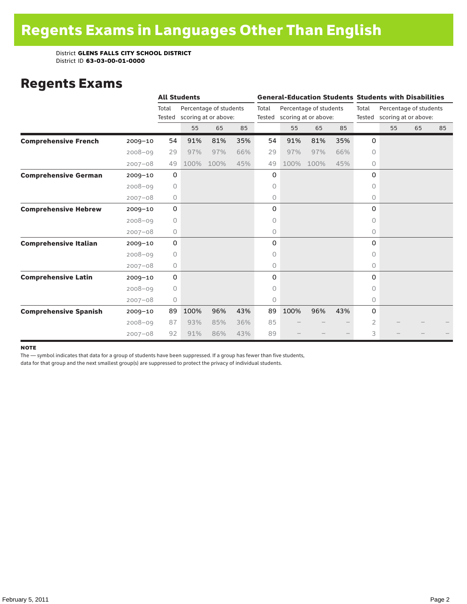### Regents Exams

|                              |             | <b>All Students</b> |      |                                                |     |                 |                                                |      |     | <b>General-Education Students Students with Disabilities</b> |                                                       |    |    |  |
|------------------------------|-------------|---------------------|------|------------------------------------------------|-----|-----------------|------------------------------------------------|------|-----|--------------------------------------------------------------|-------------------------------------------------------|----|----|--|
|                              |             | Total<br>Tested     |      | Percentage of students<br>scoring at or above: |     | Total<br>Tested | Percentage of students<br>scoring at or above: |      |     | Total                                                        | Percentage of students<br>Tested scoring at or above: |    |    |  |
|                              |             |                     | 55   | 65                                             | 85  |                 | 55                                             | 65   | 85  |                                                              | 55                                                    | 65 | 85 |  |
| <b>Comprehensive French</b>  | $2009 - 10$ | 54                  | 91%  | 81%                                            | 35% | 54              | 91%                                            | 81%  | 35% | 0                                                            |                                                       |    |    |  |
|                              | $2008 - 09$ | 29                  | 97%  | 97%                                            | 66% | 29              | 97%                                            | 97%  | 66% | $\circ$                                                      |                                                       |    |    |  |
|                              | $2007 - 08$ | 49                  | 100% | 100%                                           | 45% | 49              | 100%                                           | 100% | 45% | 0                                                            |                                                       |    |    |  |
| <b>Comprehensive German</b>  | $2009 - 10$ | $\mathbf 0$         |      |                                                |     | 0               |                                                |      |     | 0                                                            |                                                       |    |    |  |
|                              | $2008 - 09$ | $\circ$             |      |                                                |     | 0               |                                                |      |     | $\circ$                                                      |                                                       |    |    |  |
|                              | $2007 - 08$ | 0                   |      |                                                |     | 0               |                                                |      |     | 0                                                            |                                                       |    |    |  |
| <b>Comprehensive Hebrew</b>  | $2009 - 10$ | $\mathbf 0$         |      |                                                |     | 0               |                                                |      |     | $\Omega$                                                     |                                                       |    |    |  |
|                              | $2008 - 09$ | 0                   |      |                                                |     | 0               |                                                |      |     | 0                                                            |                                                       |    |    |  |
|                              | $2007 - 08$ | 0                   |      |                                                |     | 0               |                                                |      |     | 0                                                            |                                                       |    |    |  |
| <b>Comprehensive Italian</b> | $2009 - 10$ | $\mathbf 0$         |      |                                                |     | 0               |                                                |      |     | 0                                                            |                                                       |    |    |  |
|                              | $2008 - 09$ | $\circ$             |      |                                                |     | 0               |                                                |      |     | $\Omega$                                                     |                                                       |    |    |  |
|                              | $2007 - 08$ | $\circ$             |      |                                                |     | 0               |                                                |      |     | $\circ$                                                      |                                                       |    |    |  |
| <b>Comprehensive Latin</b>   | $2009 - 10$ | $\mathbf 0$         |      |                                                |     | 0               |                                                |      |     | 0                                                            |                                                       |    |    |  |
|                              | $2008 - 09$ | $\circ$             |      |                                                |     | 0               |                                                |      |     | $\bigcap$                                                    |                                                       |    |    |  |
|                              | $2007 - 08$ | $\circlearrowright$ |      |                                                |     | 0               |                                                |      |     | 0                                                            |                                                       |    |    |  |
| <b>Comprehensive Spanish</b> | $2009 - 10$ | 89                  | 100% | 96%                                            | 43% | 89              | 100%                                           | 96%  | 43% | 0                                                            |                                                       |    |    |  |
|                              | $2008 - 09$ | 87                  | 93%  | 85%                                            | 36% | 85              |                                                |      |     | 2                                                            |                                                       |    |    |  |
|                              | $2007 - 08$ | 92                  | 91%  | 86%                                            | 43% | 89              |                                                |      |     | 3                                                            |                                                       |    |    |  |

#### note

The — symbol indicates that data for a group of students have been suppressed. If a group has fewer than five students,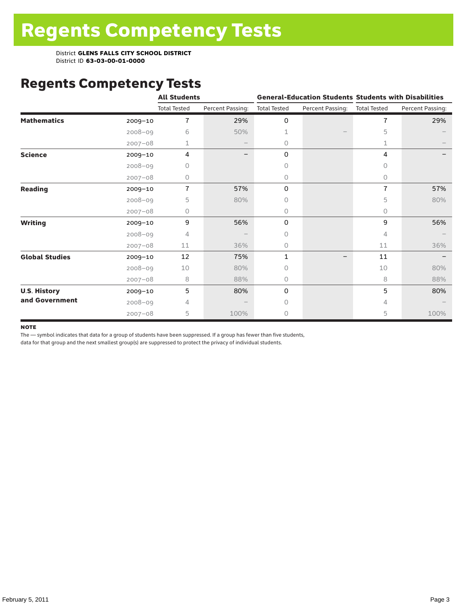# Regents Competency Tests

|                       |             | <b>All Students</b> |                  |                     | <b>General-Education Students Students with Disabilities</b> |                     |                  |
|-----------------------|-------------|---------------------|------------------|---------------------|--------------------------------------------------------------|---------------------|------------------|
|                       |             | <b>Total Tested</b> | Percent Passing: | <b>Total Tested</b> | Percent Passing:                                             | <b>Total Tested</b> | Percent Passing: |
| <b>Mathematics</b>    | $2009 - 10$ | $\overline{1}$      | 29%              | 0                   |                                                              | $\overline{7}$      | 29%              |
|                       | $2008 - 09$ | 6                   | 50%              | 1                   |                                                              | 5                   |                  |
|                       | $2007 - 08$ | 1                   |                  | 0                   |                                                              | 1                   |                  |
| <b>Science</b>        | 2009-10     | 4                   |                  | 0                   |                                                              | 4                   |                  |
|                       | $2008 - 09$ | 0                   |                  | 0                   |                                                              | 0                   |                  |
|                       | $2007 - 08$ | 0                   |                  | 0                   |                                                              | 0                   |                  |
| <b>Reading</b>        | 2009-10     | $\overline{1}$      | 57%              | 0                   |                                                              | 7                   | 57%              |
|                       | $2008 - 09$ | 5                   | 80%              | 0                   |                                                              | 5                   | 80%              |
|                       | $2007 - 08$ | 0                   |                  | 0                   |                                                              | $\Omega$            |                  |
| <b>Writing</b>        | $2009 - 10$ | 9                   | 56%              | 0                   |                                                              | 9                   | 56%              |
|                       | $2008 - 09$ | 4                   |                  | 0                   |                                                              | 4                   |                  |
|                       | $2007 - 08$ | 11                  | 36%              | 0                   |                                                              | 11                  | 36%              |
| <b>Global Studies</b> | 2009-10     | 12                  | 75%              | 1                   |                                                              | 11                  |                  |
|                       | $2008 - 09$ | 10                  | 80%              | 0                   |                                                              | 10                  | 80%              |
|                       | $2007 - 08$ | 8                   | 88%              | 0                   |                                                              | 8                   | 88%              |
| <b>U.S. History</b>   | 2009-10     | 5                   | 80%              | 0                   |                                                              | 5                   | 80%              |
| and Government        | $2008 - 09$ | 4                   |                  | Ω                   |                                                              | 4                   |                  |
|                       | $2007 - 08$ | 5                   | 100%             | 0                   |                                                              | 5                   | 100%             |

#### **NOTE**

The — symbol indicates that data for a group of students have been suppressed. If a group has fewer than five students,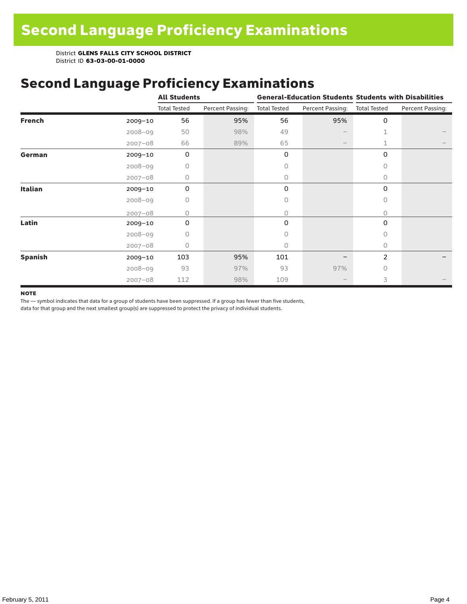# Second Language Proficiency Examinations

|                |             | <b>All Students</b> |                  |                     |                   | <b>General-Education Students Students with Disabilities</b> |                  |  |  |
|----------------|-------------|---------------------|------------------|---------------------|-------------------|--------------------------------------------------------------|------------------|--|--|
|                |             | <b>Total Tested</b> | Percent Passing: | <b>Total Tested</b> | Percent Passing:  | <b>Total Tested</b>                                          | Percent Passing: |  |  |
| <b>French</b>  | $2009 - 10$ | 56                  | 95%              | 56                  | 95%               | 0                                                            |                  |  |  |
|                | $2008 - 09$ | 50                  | 98%              | 49                  |                   | 1                                                            |                  |  |  |
|                | $2007 - 08$ | 66                  | 89%              | 65                  | $\qquad \qquad -$ | 1                                                            |                  |  |  |
| German         | $2009 - 10$ | 0                   |                  | 0                   |                   | 0                                                            |                  |  |  |
|                | $2008 - 09$ | 0                   |                  | 0                   |                   | $\Omega$                                                     |                  |  |  |
|                | $2007 - 08$ | 0                   |                  | 0                   |                   | $\Omega$                                                     |                  |  |  |
| Italian        | $2009 - 10$ | 0                   |                  | 0                   |                   | 0                                                            |                  |  |  |
|                | $2008 - 09$ | 0                   |                  | 0                   |                   | $\circ$                                                      |                  |  |  |
|                | $2007 - 08$ | $\Omega$            |                  | 0                   |                   | $\Omega$                                                     |                  |  |  |
| Latin          | 2009-10     | 0                   |                  | 0                   |                   | 0                                                            |                  |  |  |
|                | $2008 - 09$ | O                   |                  | 0                   |                   | $\Omega$                                                     |                  |  |  |
|                | $2007 - 08$ | 0                   |                  | 0                   |                   | 0                                                            |                  |  |  |
| <b>Spanish</b> | $2009 - 10$ | 103                 | 95%              | 101                 |                   | $\overline{2}$                                               |                  |  |  |
|                | $2008 - 09$ | 93                  | 97%              | 93                  | 97%               | $\bigcap$                                                    |                  |  |  |
|                | $2007 - 08$ | 112                 | 98%              | 109                 |                   | 3                                                            |                  |  |  |

#### **NOTE**

The — symbol indicates that data for a group of students have been suppressed. If a group has fewer than five students,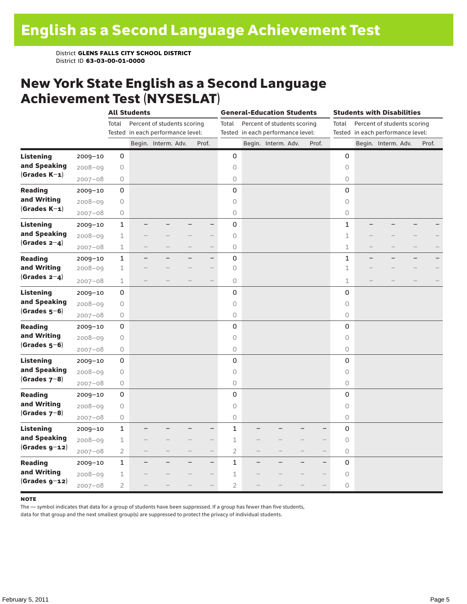### New York State English as a Second Language Achievement Test (NYSESLAT)

|                  |             |                | <b>All Students</b>               |                             |                          |                          | <b>General-Education Students</b> |  |                                   |  | <b>Students with Disabilities</b> |                                                 |                                   |                             |  |       |
|------------------|-------------|----------------|-----------------------------------|-----------------------------|--------------------------|--------------------------|-----------------------------------|--|-----------------------------------|--|-----------------------------------|-------------------------------------------------|-----------------------------------|-----------------------------|--|-------|
|                  |             | Total          |                                   | Percent of students scoring |                          |                          | Total                             |  | Percent of students scoring       |  |                                   | Total                                           |                                   | Percent of students scoring |  |       |
|                  |             |                | Tested in each performance level: |                             |                          |                          |                                   |  | Tested in each performance level: |  |                                   |                                                 | Tested in each performance level: |                             |  |       |
|                  |             |                |                                   | Begin. Interm. Adv.         |                          | Prof.                    |                                   |  | Begin. Interm. Adv.               |  | Prof.                             |                                                 |                                   | Begin. Interm. Adv.         |  | Prof. |
| <b>Listening</b> | 2009-10     | 0              |                                   |                             |                          |                          | 0                                 |  |                                   |  |                                   | 0                                               |                                   |                             |  |       |
| and Speaking     | $2008 - 09$ | 0              |                                   |                             |                          |                          | 0                                 |  |                                   |  |                                   | $\circ$                                         |                                   |                             |  |       |
| $(Grades K-1)$   | $2007 - 08$ | 0              |                                   |                             |                          |                          | $\bigcirc$                        |  |                                   |  |                                   | $\circlearrowright$                             |                                   |                             |  |       |
| <b>Reading</b>   | $2009 - 10$ | 0              |                                   |                             |                          |                          | 0                                 |  |                                   |  |                                   | 0                                               |                                   |                             |  |       |
| and Writing      | $2008 - 09$ | $\bigcirc$     |                                   |                             |                          |                          | $\circ$                           |  |                                   |  |                                   | $\circ$                                         |                                   |                             |  |       |
| $(Grades K-1)$   | $2007 - 08$ | $\bigcirc$     |                                   |                             |                          |                          | 0                                 |  |                                   |  |                                   | $\circ$                                         |                                   |                             |  |       |
| <b>Listening</b> | $2009 - 10$ | 1              |                                   |                             |                          | $\overline{\phantom{0}}$ | 0                                 |  |                                   |  |                                   | 1                                               |                                   |                             |  |       |
| and Speaking     | $2008 - 09$ | $\mathbf 1$    |                                   |                             |                          |                          | $\circ$                           |  |                                   |  |                                   | $\perp$                                         |                                   |                             |  |       |
| (Grades $2-4$ )  | $2007 - 08$ | 1              |                                   |                             |                          | $\overline{\phantom{0}}$ | $\bigcirc$                        |  |                                   |  |                                   | 1                                               |                                   |                             |  |       |
| <b>Reading</b>   | 2009-10     | $\mathbf 1$    |                                   |                             |                          | $-$                      | 0                                 |  |                                   |  |                                   | 1                                               |                                   |                             |  |       |
| and Writing      | $2008 - 09$ | $\mathbf 1$    |                                   |                             |                          | $\overline{\phantom{0}}$ | $\circ$                           |  |                                   |  |                                   | 1                                               |                                   |                             |  |       |
| (Grades $2-4$ )  | $2007 - 08$ | 1              |                                   |                             |                          | $-$                      | $\bigcirc$                        |  |                                   |  |                                   | $\mathbf 1$                                     |                                   |                             |  |       |
| <b>Listening</b> | $2009 - 10$ | 0              |                                   |                             |                          |                          | 0                                 |  |                                   |  |                                   | 0                                               |                                   |                             |  |       |
| and Speaking     | $2008 - 09$ | 0              |                                   |                             |                          |                          | 0                                 |  |                                   |  |                                   | $\circ$                                         |                                   |                             |  |       |
| $(Grades 5-6)$   | $2007 - 08$ | $\bigcirc$     |                                   |                             |                          |                          | 0                                 |  |                                   |  |                                   | $\circ$                                         |                                   |                             |  |       |
| <b>Reading</b>   | $2009 - 10$ | $\mathsf 0$    |                                   |                             |                          |                          | 0                                 |  |                                   |  |                                   | 0                                               |                                   |                             |  |       |
| and Writing      | $2008 - 09$ | 0              |                                   |                             |                          |                          | 0                                 |  |                                   |  |                                   | 0                                               |                                   |                             |  |       |
| (Grades $5-6$ )  | $2007 - 08$ | $\bigcirc$     |                                   |                             |                          |                          | 0                                 |  |                                   |  |                                   | $\circlearrowright$                             |                                   |                             |  |       |
| Listening        | $2009 - 10$ | 0              |                                   |                             |                          |                          | 0                                 |  |                                   |  |                                   | 0                                               |                                   |                             |  |       |
| and Speaking     | $2008 - 09$ | $\bigcirc$     |                                   |                             |                          |                          | 0                                 |  |                                   |  |                                   | $\circ$                                         |                                   |                             |  |       |
| (Grades $7-8$ )  | $2007 - 08$ | $\bigcirc$     |                                   |                             |                          |                          | $\bigcirc$                        |  |                                   |  |                                   | $\circlearrowright$                             |                                   |                             |  |       |
| <b>Reading</b>   | $2009 - 10$ | 0              |                                   |                             |                          |                          | 0                                 |  |                                   |  |                                   | 0                                               |                                   |                             |  |       |
| and Writing      | $2008 - 09$ | 0              |                                   |                             |                          |                          | 0                                 |  |                                   |  |                                   | $\circ$                                         |                                   |                             |  |       |
| (Grades $7-8$ )  | $2007 - 08$ | $\bigcirc$     |                                   |                             |                          |                          | $\circ$                           |  |                                   |  |                                   | $\circ$                                         |                                   |                             |  |       |
| <b>Listening</b> | $2009 - 10$ | $\mathbf{1}$   |                                   |                             |                          | $\overline{\phantom{0}}$ | $\mathbf{1}$                      |  |                                   |  |                                   | 0                                               |                                   |                             |  |       |
| and Speaking     | $2008 - 09$ | $1\,$          |                                   |                             |                          |                          | 1                                 |  |                                   |  |                                   | 0<br>$\qquad \qquad -$                          |                                   |                             |  |       |
| $(Grades g-12)$  | $2007 - 08$ | $\overline{2}$ |                                   |                             | $\overline{\phantom{0}}$ | $\overline{\phantom{0}}$ | $\overline{2}$                    |  |                                   |  |                                   | $\circlearrowright$<br>$\overline{\phantom{0}}$ |                                   |                             |  |       |
| <b>Reading</b>   | $2009 - 10$ | $\mathbf{1}$   |                                   |                             |                          | $\overline{\phantom{0}}$ | 1                                 |  |                                   |  |                                   | 0<br>$\overline{\phantom{0}}$                   |                                   |                             |  |       |
| and Writing      | $2008 - 09$ | $\mathbf 1$    |                                   |                             |                          | ÷                        | 1                                 |  |                                   |  |                                   | $\mathsf O$                                     |                                   |                             |  |       |
| $(Grades g-12)$  | $2007 - 08$ | $\overline{2}$ |                                   |                             |                          |                          | $\overline{2}$                    |  |                                   |  |                                   | $\circ$                                         |                                   |                             |  |       |

#### **NOTE**

The — symbol indicates that data for a group of students have been suppressed. If a group has fewer than five students,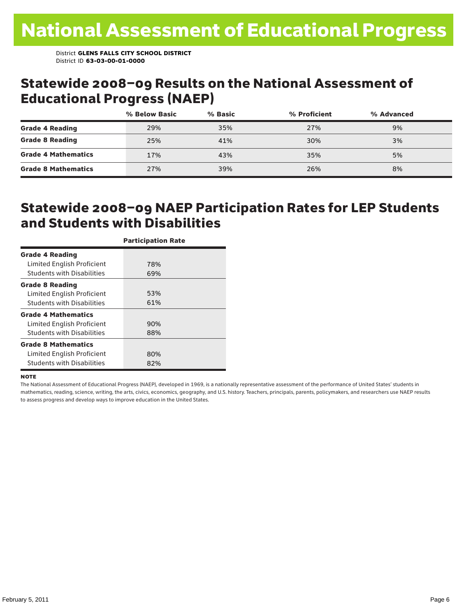### Statewide 2008–09 Results on the National Assessment of Educational Progress (NAEP)

|                            | % Below Basic | % Basic | % Proficient | % Advanced |  |
|----------------------------|---------------|---------|--------------|------------|--|
| <b>Grade 4 Reading</b>     | 29%           | 35%     | 27%          | 9%         |  |
| <b>Grade 8 Reading</b>     | 25%           | 41%     | 30%          | 3%         |  |
| <b>Grade 4 Mathematics</b> | 17%           | 43%     | 35%          | 5%         |  |
| <b>Grade 8 Mathematics</b> | 27%           | 39%     | 26%          | 8%         |  |

### Statewide 2008–09 NAEP Participation Rates for LEP Students and Students with Disabilities

|                                   | <b>Participation Rate</b> |
|-----------------------------------|---------------------------|
| <b>Grade 4 Reading</b>            |                           |
| Limited English Proficient        | 78%                       |
| <b>Students with Disabilities</b> | 69%                       |
| <b>Grade 8 Reading</b>            |                           |
| Limited English Proficient        | 53%                       |
| <b>Students with Disabilities</b> | 61%                       |
| <b>Grade 4 Mathematics</b>        |                           |
| Limited English Proficient        | 90%                       |
| <b>Students with Disabilities</b> | 88%                       |
| <b>Grade 8 Mathematics</b>        |                           |
| Limited English Proficient        | 80%                       |
| <b>Students with Disabilities</b> | 82%                       |

#### **NOTE**

The National Assessment of Educational Progress (NAEP), developed in 1969, is a nationally representative assessment of the performance of United States' students in mathematics, reading, science, writing, the arts, civics, economics, geography, and U.S. history. Teachers, principals, parents, policymakers, and researchers use NAEP results to assess progress and develop ways to improve education in the United States.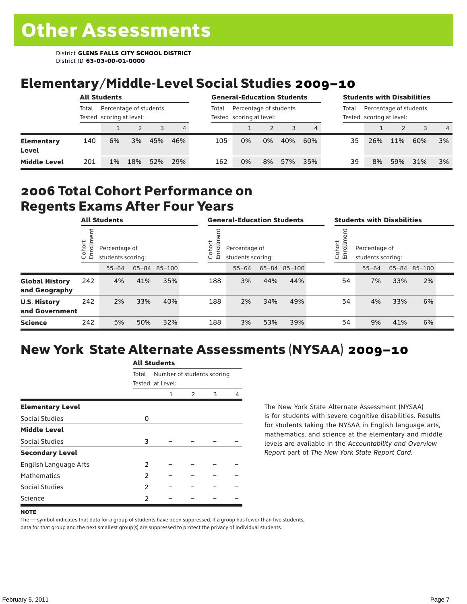# Elementary/Middle-Level Social Studies 2009–10

|                            |       | <b>All Students</b>                                |     |     |     |       | <b>General-Education Students</b>                  |    |     |     |       | <b>Students with Disabilities</b>                  |     |     |                |  |  |  |
|----------------------------|-------|----------------------------------------------------|-----|-----|-----|-------|----------------------------------------------------|----|-----|-----|-------|----------------------------------------------------|-----|-----|----------------|--|--|--|
|                            | Total | Percentage of students<br>Tested scoring at level: |     |     |     | Total | Percentage of students<br>Tested scoring at level: |    |     |     | Total | Percentage of students<br>Tested scoring at level: |     |     |                |  |  |  |
|                            |       |                                                    |     |     | 4   |       |                                                    |    |     |     |       |                                                    |     |     | $\overline{4}$ |  |  |  |
| <b>Elementary</b><br>Level | 140   | 6%                                                 | 3%  | 45% | 46% | 105   | 0%                                                 | 0% | 40% | 60% | 35    | 26%                                                | 11% | 60% | 3%             |  |  |  |
| <b>Middle Level</b>        | 201   | 1%                                                 | 18% | 52% | 29% | 162   | 0%                                                 | 8% | 57% | 35% | 39    | 8%                                                 | 59% | 31% | 3%             |  |  |  |

### 2006 Total Cohort Performance on Regents Exams After Four Years

|                                        |                               | <b>All Students</b> |                                                    |     |  | <b>General-Education Students</b> |                                                              |     |              |  | <b>Students with Disabilities</b> |                                                                |     |              |  |  |
|----------------------------------------|-------------------------------|---------------------|----------------------------------------------------|-----|--|-----------------------------------|--------------------------------------------------------------|-----|--------------|--|-----------------------------------|----------------------------------------------------------------|-----|--------------|--|--|
|                                        | Cohort<br>$=$<br>$\circ$<br>面 |                     | Percentage of<br>students scoring:<br>65-84 85-100 |     |  |                                   | Cohort<br>Ξ<br>Percentage of<br>ò,<br>모<br>students scoring: |     |              |  |                                   | Cohort<br>$=$<br>Percentage of<br>Ò,<br>문<br>students scoring: |     |              |  |  |
|                                        |                               | $55 - 64$           |                                                    |     |  |                                   | $55 - 64$                                                    |     | 65-84 85-100 |  |                                   | $55 - 64$                                                      |     | 65-84 85-100 |  |  |
| <b>Global History</b><br>and Geography | 242                           | 4%                  | 41%                                                | 35% |  | 188                               | 3%                                                           | 44% | 44%          |  | 54                                | 7%                                                             | 33% | 2%           |  |  |
| <b>U.S. History</b><br>and Government  | 242                           | 2%                  | 33%                                                | 40% |  | 188                               | 2%                                                           | 34% | 49%          |  | 54                                | 4%                                                             | 33% | 6%           |  |  |
| <b>Science</b>                         | 242                           | 5%                  | 50%                                                | 32% |  | 188                               | 3%                                                           | 53% | 39%          |  | 54                                | 9%                                                             | 41% | 6%           |  |  |

# New York State Alternate Assessments (NYSAA) 2009–10

|                         | AIL SLUUTIILS                       |                  |   |   |  |  |  |  |  |  |
|-------------------------|-------------------------------------|------------------|---|---|--|--|--|--|--|--|
|                         | Number of students scoring<br>Total |                  |   |   |  |  |  |  |  |  |
|                         |                                     | Tested at Level: |   |   |  |  |  |  |  |  |
|                         |                                     | 1                | 2 | 3 |  |  |  |  |  |  |
| <b>Elementary Level</b> |                                     |                  |   |   |  |  |  |  |  |  |
| <b>Social Studies</b>   | O                                   |                  |   |   |  |  |  |  |  |  |
| <b>Middle Level</b>     |                                     |                  |   |   |  |  |  |  |  |  |
| Social Studies          | 3                                   |                  |   |   |  |  |  |  |  |  |
| <b>Secondary Level</b>  |                                     |                  |   |   |  |  |  |  |  |  |
| English Language Arts   | 2                                   |                  |   |   |  |  |  |  |  |  |
| <b>Mathematics</b>      | 2                                   |                  |   |   |  |  |  |  |  |  |
| Social Studies          | 2                                   |                  |   |   |  |  |  |  |  |  |
| Science                 | 2                                   |                  |   |   |  |  |  |  |  |  |

All C<sub>tude</sub>

The New York State Alternate Assessment (NYSAA) is for students with severe cognitive disabilities. Results for students taking the NYSAA in English language arts, mathematics, and science at the elementary and middle levels are available in the *Accountability and Overview Report* part of *The New York State Report Card*.

#### **NOTE**

The — symbol indicates that data for a group of students have been suppressed. If a group has fewer than five students, data for that group and the next smallest group(s) are suppressed to protect the privacy of individual students.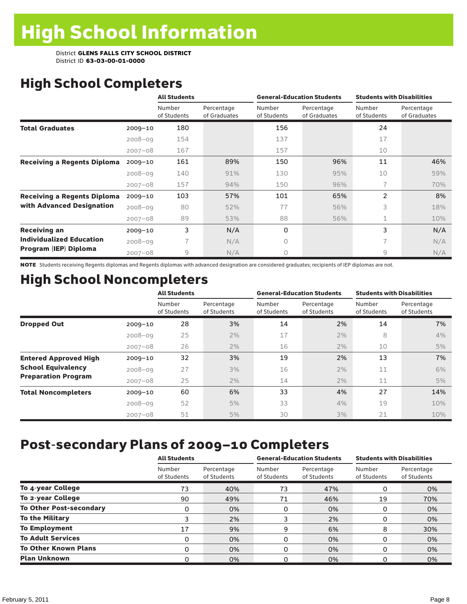# High School Completers

|                                    |             | <b>All Students</b>      |                            |                       | <b>General-Education Students</b> | <b>Students with Disabilities</b> |                            |  |
|------------------------------------|-------------|--------------------------|----------------------------|-----------------------|-----------------------------------|-----------------------------------|----------------------------|--|
|                                    |             | Number<br>of Students    | Percentage<br>of Graduates | Number<br>of Students | Percentage<br>of Graduates        | Number<br>of Students             | Percentage<br>of Graduates |  |
| <b>Total Graduates</b>             | $2009 - 10$ | 180                      |                            | 156                   |                                   | 24                                |                            |  |
|                                    | $2008 - 09$ | 154                      |                            | 137                   |                                   | 17                                |                            |  |
|                                    | $2007 - 08$ | 167                      |                            | 157                   |                                   | 10                                |                            |  |
| <b>Receiving a Regents Diploma</b> | $2009 - 10$ | 161                      | 89%                        | 150                   | 96%                               | 11                                | 46%                        |  |
|                                    | $2008 - 09$ | 140                      | 91%                        | 130                   | 95%                               | 10                                | 59%                        |  |
|                                    | $2007 - 08$ | 157                      | 94%                        | 150                   | 96%                               | 7                                 | 70%                        |  |
| <b>Receiving a Regents Diploma</b> | $2009 - 10$ | 103                      | 57%                        | 101                   | 65%                               | $\overline{2}$                    | 8%                         |  |
| with Advanced Designation          | $2008 - 09$ | 80                       | 52%                        | 77                    | 56%                               | 3                                 | 18%                        |  |
|                                    | $2007 - 08$ | 89                       | 53%                        | 88                    | 56%                               | 1                                 | 10%                        |  |
| <b>Receiving an</b>                | $2009 - 10$ | 3                        | N/A                        | 0                     |                                   | 3                                 | N/A                        |  |
| <b>Individualized Education</b>    | $2008 - 09$ | $\overline{\phantom{a}}$ | N/A                        | 0                     |                                   | $\overline{\phantom{a}}$          | N/A                        |  |
| Program (IEP) Diploma              | $2007 - 08$ | $\overline{9}$           | N/A                        | 0                     |                                   | 9                                 | N/A                        |  |

NOTE Students receiving Regents diplomas and Regents diplomas with advanced designation are considered graduates; recipients of IEP diplomas are not.

# High School Noncompleters

|                              |             | <b>All Students</b>   |                           |                       | <b>General-Education Students</b> | <b>Students with Disabilities</b> |                           |  |
|------------------------------|-------------|-----------------------|---------------------------|-----------------------|-----------------------------------|-----------------------------------|---------------------------|--|
|                              |             | Number<br>of Students | Percentage<br>of Students | Number<br>of Students | Percentage<br>of Students         | Number<br>of Students             | Percentage<br>of Students |  |
| <b>Dropped Out</b>           | $2009 - 10$ | 28                    | 3%                        | 14                    | 2%                                | 14                                | 7%                        |  |
|                              | $2008 - 09$ | 25                    | 2%                        | 17                    | 2%                                | 8                                 | 4%                        |  |
|                              | $2007 - 08$ | 26                    | 2%                        | 16                    | 2%                                | 10                                | 5%                        |  |
| <b>Entered Approved High</b> | $2009 - 10$ | 32                    | 3%                        | 19                    | 2%                                | 13                                | 7%                        |  |
| <b>School Equivalency</b>    | $2008 - 09$ | 27                    | 3%                        | 16                    | 2%                                | 11                                | 6%                        |  |
| <b>Preparation Program</b>   | $2007 - 08$ | 25                    | $2\%$                     | 14                    | 2%                                | 11                                | 5%                        |  |
| <b>Total Noncompleters</b>   | $2009 - 10$ | 60                    | 6%                        | 33                    | 4%                                | 27                                | 14%                       |  |
|                              | $2008 - 09$ | 52                    | 5%                        | 33                    | 4%                                | 19                                | 10%                       |  |
|                              | $2007 - 08$ | 51                    | 5%                        | 30                    | 3%                                | 21                                | 10%                       |  |

# Post-secondary Plans of 2009–10 Completers

|                                | <b>All Students</b>   |                           | <b>General-Education Students</b> |                           | <b>Students with Disabilities</b> |                           |
|--------------------------------|-----------------------|---------------------------|-----------------------------------|---------------------------|-----------------------------------|---------------------------|
|                                | Number<br>of Students | Percentage<br>of Students | Number<br>of Students             | Percentage<br>of Students | Number<br>of Students             | Percentage<br>of Students |
| To 4-year College              | 73                    | 40%                       | 73                                | 47%                       | 0                                 | 0%                        |
| To 2-year College              | 90                    | 49%                       | 71                                | 46%                       | 19                                | 70%                       |
| <b>To Other Post-secondary</b> | 0                     | 0%                        | 0                                 | 0%                        | 0                                 | 0%                        |
| <b>To the Military</b>         |                       | 2%                        |                                   | 2%                        | 0                                 | 0%                        |
| <b>To Employment</b>           | 17                    | 9%                        | 9                                 | 6%                        | 8                                 | 30%                       |
| <b>To Adult Services</b>       | 0                     | 0%                        | 0                                 | 0%                        | 0                                 | 0%                        |
| <b>To Other Known Plans</b>    | 0                     | 0%                        | 0                                 | 0%                        | 0                                 | 0%                        |
| <b>Plan Unknown</b>            |                       | 0%                        |                                   | 0%                        |                                   | 0%                        |